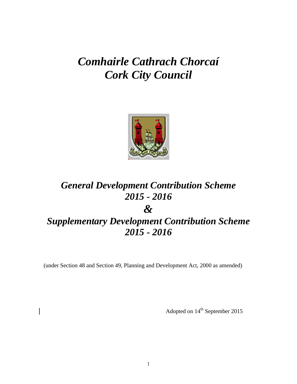# *Comhairle Cathrach Chorcaí Cork City Council*



# *General Development Contribution Scheme 2015 - 2016 &*

# *Supplementary Development Contribution Scheme 2015 - 2016*

(under Section 48 and Section 49, Planning and Development Act, 2000 as amended)

Adopted on  $14^{\text{th}}$  September 2015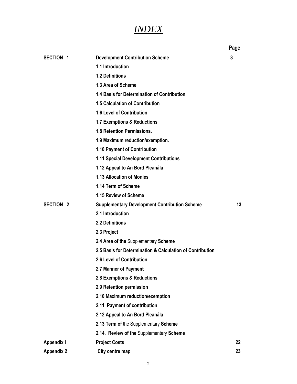## *INDEX*

|                   |                                                           | Page |
|-------------------|-----------------------------------------------------------|------|
| <b>SECTION 1</b>  | <b>Development Contribution Scheme</b>                    | 3    |
|                   | 1.1 Introduction                                          |      |
|                   | 1.2 Definitions                                           |      |
|                   | 1.3 Area of Scheme                                        |      |
|                   | 1.4 Basis for Determination of Contribution               |      |
|                   | <b>1.5 Calculation of Contribution</b>                    |      |
|                   | 1.6 Level of Contribution                                 |      |
|                   | 1.7 Exemptions & Reductions                               |      |
|                   | 1.8 Retention Permissions.                                |      |
|                   | 1.9 Maximum reduction/exemption.                          |      |
|                   | 1.10 Payment of Contribution                              |      |
|                   | <b>1.11 Special Development Contributions</b>             |      |
|                   | 1.12 Appeal to An Bord Pleanála                           |      |
|                   | 1.13 Allocation of Monies                                 |      |
|                   | 1.14 Term of Scheme                                       |      |
|                   | 1.15 Review of Scheme                                     |      |
| <b>SECTION 2</b>  | <b>Supplementary Development Contribution Scheme</b>      | 13   |
|                   | 2.1 Introduction                                          |      |
|                   | 2.2 Definitions                                           |      |
|                   | 2.3 Project                                               |      |
|                   | 2.4 Area of the Supplementary Scheme                      |      |
|                   | 2.5 Basis for Determination & Calculation of Contribution |      |
|                   | 2.6 Level of Contribution                                 |      |
|                   | 2.7 Manner of Payment                                     |      |
|                   | 2.8 Exemptions & Reductions                               |      |
|                   | 2.9 Retention permission                                  |      |
|                   | 2.10 Maximum reduction/exemption                          |      |
|                   | 2.11 Payment of contribution                              |      |
|                   | 2.12 Appeal to An Bord Pleanála                           |      |
|                   | 2.13 Term of the Supplementary Scheme                     |      |
|                   | 2.14. Review of the Supplementary Scheme                  |      |
| <b>Appendix I</b> | <b>Project Costs</b>                                      | 22   |
| <b>Appendix 2</b> | City centre map                                           | 23   |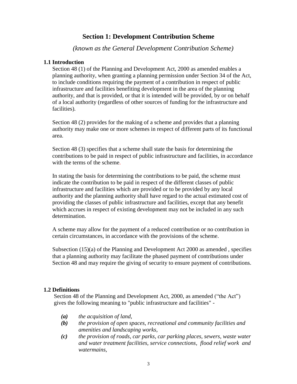#### **Section 1: Development Contribution Scheme**

*(known as the General Development Contribution Scheme)*

#### **1.1 Introduction**

Section 48 (1) of the Planning and Development Act, 2000 as amended enables a planning authority, when granting a planning permission under Section 34 of the Act, to include conditions requiring the payment of a contribution in respect of public infrastructure and facilities benefiting development in the area of the planning authority, and that is provided, or that it is intended will be provided, by or on behalf of a local authority (regardless of other sources of funding for the infrastructure and facilities).

Section 48 (2) provides for the making of a scheme and provides that a planning authority may make one or more schemes in respect of different parts of its functional area.

Section 48 (3) specifies that a scheme shall state the basis for determining the contributions to be paid in respect of public infrastructure and facilities, in accordance with the terms of the scheme.

In stating the basis for determining the contributions to be paid, the scheme must indicate the contribution to be paid in respect of the different classes of public infrastructure and facilities which are provided or to be provided by any local authority and the planning authority shall have regard to the actual estimated cost of providing the classes of public infrastructure and facilities, except that any benefit which accrues in respect of existing development may not be included in any such determination.

A scheme may allow for the payment of a reduced contribution or no contribution in certain circumstances, in accordance with the provisions of the scheme.

Subsection (15)(a) of the Planning and Development Act 2000 as amended , specifies that a planning authority may facilitate the phased payment of contributions under Section 48 and may require the giving of security to ensure payment of contributions.

#### **1.2 Definitions**

Section 48 of the Planning and Development Act, 2000, as amended ("the Act") gives the following meaning to "public infrastructure and facilities" -

- *(a) the acquisition of land,*
- *(b) the provision of open spaces, recreational and community facilities and amenities and landscaping works,*
- *(c) the provision of roads, car parks, car parking places, sewers, waste water and water treatment facilities, service connections, flood relief work and watermains,*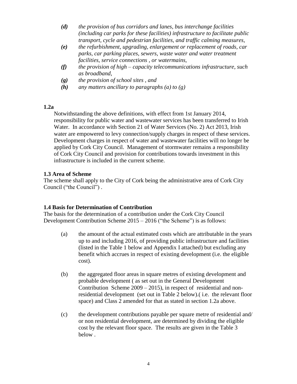- *(d) the provision of bus corridors and lanes, bus interchange facilities (including car parks for these facilities) infrastructure to facilitate public transport, cycle and pedestrian facilities, and traffic calming measures,*
- *(e) the refurbishment, upgrading, enlargement or replacement of roads, car parks, car parking places, sewers, waste water and water treatment facilities, service connections , or watermains,*
- *(f) the provision of high – capacity telecommunications infrastructure, such as broadband,*
- *(g) the provision of school sites , and*
- *(h) any matters ancillary to paragraphs (a) to (g)*

#### **1.2a**

Notwithstanding the above definitions, with effect from 1st January 2014, responsibility for public water and wastewater services has been transferred to Irish Water. In accordance with Section 21 of Water Services (No. 2) Act 2013, Irish water are empowered to levy connection/supply charges in respect of these services. Development charges in respect of water and wastewater facilities will no longer be applied by Cork City Council. Management of stormwater remains a responsibility of Cork City Council and provision for contributions towards investment in this infrastructure is included in the current scheme.

#### **1.3 Area of Scheme**

The scheme shall apply to the City of Cork being the administrative area of Cork City Council ("the Council") .

#### **1.4 Basis for Determination of Contribution**

The basis for the determination of a contribution under the Cork City Council Development Contribution Scheme 2015 – 2016 ("the Scheme") is as follows:

- (a) the amount of the actual estimated costs which are attributable in the years up to and including 2016, of providing public infrastructure and facilities (listed in the Table 1 below and Appendix I attached) but excluding any benefit which accrues in respect of existing development (i.e. the eligible cost).
- (b) the aggregated floor areas in square metres of existing development and probable development ( as set out in the General Development Contribution Scheme 2009 – 2015), in respect of residential and nonresidential development (set out in Table 2 below).( i.e. the relevant floor space) and Class 2 amended for that as stated in section 1.2a above.
- (c) the development contributions payable per square metre of residential and/ or non residential development, are determined by dividing the eligible cost by the relevant floor space. The results are given in the Table 3 below .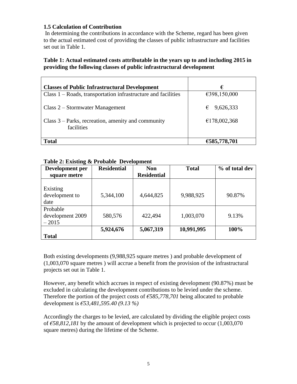#### **1.5 Calculation of Contribution**

In determining the contributions in accordance with the Scheme, regard has been given to the actual estimated cost of providing the classes of public infrastructure and facilities set out in Table 1.

#### **Table 1: Actual estimated costs attributable in the years up to and including 2015 in providing the following classes of public infrastructural development**

| <b>Classes of Public Infrastructural Development</b>               | €              |
|--------------------------------------------------------------------|----------------|
| Class 1 – Roads, transportation infrastructure and facilities      | €398,150,000   |
| Class 2 – Stormwater Management                                    | 9,626,333<br>€ |
| Class $3$ – Parks, recreation, amenity and community<br>facilities | €178,002,368   |
| <b>Total</b>                                                       | €585,778,701   |

#### **Table 2: Existing & Probable Development**

| Development per  | <b>Residential</b> | <b>Non</b>         | <b>Total</b> | % of total dev |
|------------------|--------------------|--------------------|--------------|----------------|
| square metre     |                    | <b>Residential</b> |              |                |
|                  |                    |                    |              |                |
| Existing         |                    |                    |              |                |
| development to   | 5,344,100          | 4,644,825          | 9,988,925    | 90.87%         |
| date             |                    |                    |              |                |
| Probable         |                    |                    |              |                |
| development 2009 | 580,576            | 422,494            | 1,003,070    | 9.13%          |
| $-2015$          |                    |                    |              |                |
|                  | 5,924,676          | 5,067,319          | 10,991,995   | 100%           |
| <b>Total</b>     |                    |                    |              |                |

Both existing developments (9,988,925 square metres ) and probable development of (1,003,070 square metres ) will accrue a benefit from the provision of the infrastructural projects set out in Table 1.

However, any benefit which accrues in respect of existing development (90.87%) must be excluded in calculating the development contributions to be levied under the scheme. Therefore the portion of the project costs of *€585,778,701* being allocated to probable development is *€53,481,595.40 (9.13 %)*

Accordingly the charges to be levied, are calculated by dividing the eligible project costs of *€58,812,181* by the amount of development which is projected to occur (1,003,070 square metres) during the lifetime of the Scheme.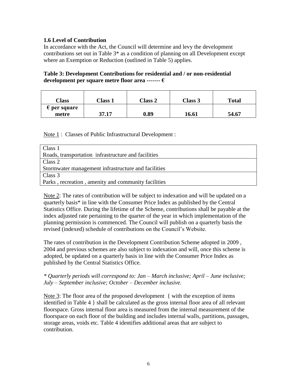#### **1.6 Level of Contribution**

In accordance with the Act, the Council will determine and levy the development contributions set out in Table 3\* as a condition of planning on all Development except where an Exemption or Reduction (outlined in Table 5) applies.

#### **Table 3: Development Contributions for residential and / or non-residential development per square metre floor area ------- €**

| Class                          | <b>Class 1</b> | Class 2 | Class 3 | <b>Total</b> |
|--------------------------------|----------------|---------|---------|--------------|
| $\epsilon$ per square<br>metre | 37.17          | 0.89    | 16.61   | 54.67        |

Note 1 : Classes of Public Infrastructural Development :

| Class 1                                             |
|-----------------------------------------------------|
| Roads, transportation infrastructure and facilities |
| Class 2                                             |
| Stormwater management infrastructure and facilities |
| Class 3                                             |
| Parks, recreation, amenity and community facilities |

Note 2: The rates of contribution will be subject to indexation and will be updated on a quarterly basis\* in line with the Consumer Price Index as published by the Central Statistics Office. During the lifetime of the Scheme, contributions shall be payable at the index adjusted rate pertaining to the quarter of the year in which implementation of the planning permission is commenced. The Council will publish on a quarterly basis the revised (indexed) schedule of contributions on the Council"s Website.

The rates of contribution in the Development Contribution Scheme adopted in 2009 , 2004 and previous schemes are also subject to indexation and will, once this scheme is adopted, be updated on a quarterly basis in line with the Consumer Price Index as published by the Central Statistics Office.

#### *\* Quarterly periods will correspond to: Jan – March inclusive; April – June inclusive; July – September inclusive; October – December inclusive.*

Note 3: The floor area of the proposed development { with the exception of items identified in Table 4 } shall be calculated as the gross internal floor area of all relevant floorspace. Gross internal floor area is measured from the internal measurement of the floorspace on each floor of the building and includes internal walls, partitions, passages, storage areas, voids etc. Table 4 identifies additional areas that are subject to contribution.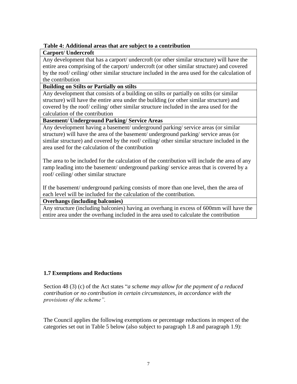#### **Table 4: Additional areas that are subject to a contribution**

#### **Carport/ Undercroft**

Any development that has a carport/ undercroft (or other similar structure) will have the entire area comprising of the carport/ undercroft (or other similar structure) and covered by the roof/ ceiling/ other similar structure included in the area used for the calculation of the contribution

#### **Building on Stilts or Partially on stilts**

Any development that consists of a building on stilts or partially on stilts (or similar structure) will have the entire area under the building (or other similar structure) and covered by the roof/ ceiling/ other similar structure included in the area used for the calculation of the contribution

#### **Basement/ Underground Parking/ Service Areas**

Any development having a basement/ underground parking/ service areas (or similar structure) will have the area of the basement/ underground parking/ service areas (or similar structure) and covered by the roof/ ceiling/ other similar structure included in the area used for the calculation of the contribution

The area to be included for the calculation of the contribution will include the area of any ramp leading into the basement/ underground parking/ service areas that is covered by a roof/ ceiling/ other similar structure

If the basement/ underground parking consists of more than one level, then the area of each level will be included for the calculation of the contribution.

**Overhangs (including balconies)**

Any structure (including balconies) having an overhang in excess of 600mm will have the entire area under the overhang included in the area used to calculate the contribution

#### **1.7 Exemptions and Reductions**

Section 48 (3) (c) of the Act states "*a scheme may allow for the payment of a reduced contribution or no contribution in certain circumstances, in accordance with the provisions of the scheme".* 

The Council applies the following exemptions or percentage reductions in respect of the categories set out in Table 5 below (also subject to paragraph 1.8 and paragraph 1.9):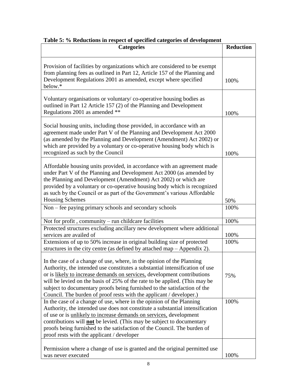| <b>Categories</b>                                                                                                                                                                                                                                                                                                                                                                                                                                                 | <b>Reduction</b> |
|-------------------------------------------------------------------------------------------------------------------------------------------------------------------------------------------------------------------------------------------------------------------------------------------------------------------------------------------------------------------------------------------------------------------------------------------------------------------|------------------|
| Provision of facilities by organizations which are considered to be exempt<br>from planning fees as outlined in Part 12, Article 157 of the Planning and<br>Development Regulations 2001 as amended, except where specified<br>below.*                                                                                                                                                                                                                            | 100%             |
| Voluntary organisations or voluntary/co-operative housing bodies as<br>outlined in Part 12 Article 157 (2) of the Planning and Development<br>Regulations 2001 as amended **                                                                                                                                                                                                                                                                                      | 100%             |
| Social housing units, including those provided, in accordance with an<br>agreement made under Part V of the Planning and Development Act 2000<br>(as amended by the Planning and Development (Amendment) Act 2002) or<br>which are provided by a voluntary or co-operative housing body which is<br>recognized as such by the Council                                                                                                                             | 100%             |
| Affordable housing units provided, in accordance with an agreement made<br>under Part V of the Planning and Development Act 2000 (as amended by<br>the Planning and Development (Amendment) Act 2002) or which are<br>provided by a voluntary or co-operative housing body which is recognized<br>as such by the Council or as part of the Government's various Affordable<br><b>Housing Schemes</b>                                                              | 50%              |
| Non – fee paying primary schools and secondary schools                                                                                                                                                                                                                                                                                                                                                                                                            | 100%             |
| Not for profit, community – run childcare facilities                                                                                                                                                                                                                                                                                                                                                                                                              | 100%             |
| Protected structures excluding ancillary new development where additional<br>services are availed of                                                                                                                                                                                                                                                                                                                                                              | 100%             |
| Extensions of up to 50% increase in original building size of protected<br>structures in the city centre (as defined by attached map – Appendix 2).                                                                                                                                                                                                                                                                                                               | 100%             |
| In the case of a change of use, where, in the opinion of the Planning<br>Authority, the intended use constitutes a substantial intensification of use<br>or is likely to increase demands on services, development contributions<br>will be levied on the basis of 25% of the rate to be applied. (This may be<br>subject to documentary proofs being furnished to the satisfaction of the<br>Council. The burden of proof rests with the applicant / developer.) | 75%              |
| In the case of a change of use, where in the opinion of the Planning<br>Authority, the intended use does not constitute a substantial intensification<br>of use or is unlikely to increase demands on services, development<br>contributions will <b>not</b> be levied. (This may be subject to documentary<br>proofs being furnished to the satisfaction of the Council. The burden of<br>proof rests with the applicant / developer                             | 100%             |
| Permission where a change of use is granted and the original permitted use<br>was never executed                                                                                                                                                                                                                                                                                                                                                                  | 100%             |

#### **Table 5: % Reductions in respect of specified categories of development**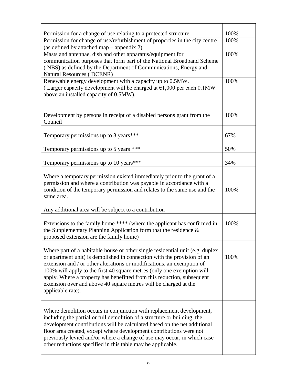| Permission for a change of use relating to a protected structure                                                                                                                                                                                                                                                                                                                                                                                                                | 100% |
|---------------------------------------------------------------------------------------------------------------------------------------------------------------------------------------------------------------------------------------------------------------------------------------------------------------------------------------------------------------------------------------------------------------------------------------------------------------------------------|------|
| Permission for change of use/refurbishment of properties in the city centre<br>(as defined by attached map – appendix 2).                                                                                                                                                                                                                                                                                                                                                       | 100% |
| Masts and antennae, dish and other apparatus/equipment for<br>communication purposes that form part of the National Broadband Scheme<br>(NBS) as defined by the Department of Communications, Energy and<br><b>Natural Resources (DCENR)</b>                                                                                                                                                                                                                                    | 100% |
| Renewable energy development with a capacity up to 0.5MW.<br>(Larger capacity development will be charged at $\epsilon$ 1,000 per each 0.1MW<br>above an installed capacity of 0.5MW).                                                                                                                                                                                                                                                                                          | 100% |
| Development by persons in receipt of a disabled persons grant from the<br>Council                                                                                                                                                                                                                                                                                                                                                                                               | 100% |
| Temporary permissions up to 3 years***                                                                                                                                                                                                                                                                                                                                                                                                                                          | 67%  |
| Temporary permissions up to 5 years ***                                                                                                                                                                                                                                                                                                                                                                                                                                         | 50%  |
| Temporary permissions up to 10 years***                                                                                                                                                                                                                                                                                                                                                                                                                                         | 34%  |
| Where a temporary permission existed immediately prior to the grant of a<br>permission and where a contribution was payable in accordance with a<br>condition of the temporary permission and relates to the same use and the<br>same area.                                                                                                                                                                                                                                     | 100% |
| Any additional area will be subject to a contribution                                                                                                                                                                                                                                                                                                                                                                                                                           |      |
| Extensions to the family home **** (where the applicant has confirmed in<br>the Supplementary Planning Application form that the residence $\&$<br>proposed extension are the family home)                                                                                                                                                                                                                                                                                      | 100% |
| Where part of a habitable house or other single residential unit (e.g. duplex<br>or apartment unit) is demolished in connection with the provision of an<br>extension and / or other alterations or modifications, an exemption of<br>100% will apply to the first 40 square metres (only one exemption will<br>apply. Where a property has benefitted from this reduction, subsequent<br>extension over and above 40 square metres will be charged at the<br>applicable rate). | 100% |
| Where demolition occurs in conjunction with replacement development,<br>including the partial or full demolition of a structure or building, the<br>development contributions will be calculated based on the net additional<br>floor area created, except where development contributions were not<br>previously levied and/or where a change of use may occur, in which case<br>other reductions specified in this table may be applicable.                                   |      |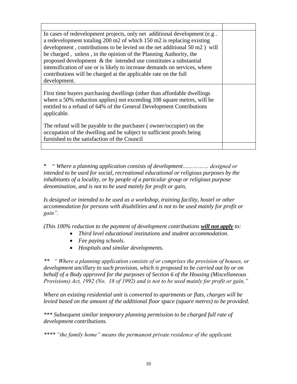| In cases of redevelopment projects, only net additional development (e.g.<br>a redevelopment totaling 200 m2 of which 150 m2 is replacing existing<br>development, contributions to be levied on the net additional 50 m2) will<br>be charged, unless, in the opinion of the Planning Authority, the<br>proposed development $\&$ the intended use constitutes a substantial<br>intensification of use or is likely to increase demands on services, where<br>contributions will be charged at the applicable rate on the full<br>development. |  |
|------------------------------------------------------------------------------------------------------------------------------------------------------------------------------------------------------------------------------------------------------------------------------------------------------------------------------------------------------------------------------------------------------------------------------------------------------------------------------------------------------------------------------------------------|--|
| First time buyers purchasing dwellings (other than affordable dwellings<br>where a 50% reduction applies) not exceeding 108 square metres, will be<br>entitled to a refund of 64% of the General Development Contributions<br>applicable.                                                                                                                                                                                                                                                                                                      |  |
| The refund will be payable to the purchaser (owner/occupier) on the<br>occupation of the dwelling and be subject to sufficient proofs being<br>furnished to the satisfaction of the Council                                                                                                                                                                                                                                                                                                                                                    |  |
|                                                                                                                                                                                                                                                                                                                                                                                                                                                                                                                                                |  |

\* " *Where a planning application consists of development…………… designed or intended to be used for social, recreational educational or religious purposes by the inhabitants of a locality, or by people of a particular group or religious purpose denomination, and is not to be used mainly for profit or gain,*

*Is designed or intended to be used as a workshop, training facility, hostel or other accommodation for persons with disabilities and is not to be used mainly for profit or gain".* 

*(This 100% reduction to the payment of development contributions will not apply to:*

- *Third level educational institutions and student accommodation.*
- *Fee paying schools.*
- *Hospitals and similar developments.*

*\*\* " Where a planning application consists of or comprises the provision of houses, or development ancillary to such provision, which is proposed to be carried out by or on behalf of a Body approved for the purposes of Section 6 of the Housing (Miscellaneous Provisions) Act, 1992 (No. 18 of 1992) and is not to be used mainly for profit or gain,"* 

*Where an existing residential unit is converted to apartments or flats, charges will be levied based on the amount of the additional floor space (square metres) to be provided.*

*\*\*\* Subsequent similar temporary planning permission to be charged full rate of development contributions.* 

*\*\*\*\* "the family home" means the permanent private residence of the applicant.*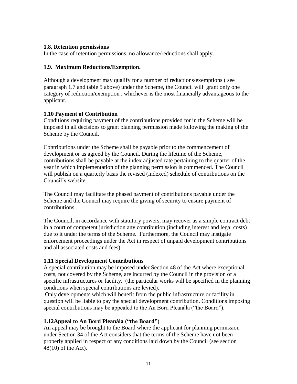#### **1.8. Retention permissions**

In the case of retention permissions, no allowance/reductions shall apply.

#### **1.9. Maximum Reductions/Exemption.**

Although a development may qualify for a number of reductions/exemptions ( see paragraph 1.7 and table 5 above) under the Scheme, the Council will grant only one category of reduction/exemption , whichever is the most financially advantageous to the applicant.

#### **1.10 Payment of Contribution**

Conditions requiring payment of the contributions provided for in the Scheme will be imposed in all decisions to grant planning permission made following the making of the Scheme by the Council.

Contributions under the Scheme shall be payable prior to the commencement of development or as agreed by the Council. During the lifetime of the Scheme, contributions shall be payable at the index adjusted rate pertaining to the quarter of the year in which implementation of the planning permission is commenced. The Council will publish on a quarterly basis the revised (indexed) schedule of contributions on the Council"s website.

The Council may facilitate the phased payment of contributions payable under the Scheme and the Council may require the giving of security to ensure payment of contributions.

The Council, in accordance with statutory powers, may recover as a simple contract debt in a court of competent jurisdiction any contribution (including interest and legal costs) due to it under the terms of the Scheme. Furthermore, the Council may instigate enforcement proceedings under the Act in respect of unpaid development contributions and all associated costs and fees).

#### **1.11 Special Development Contributions**

A special contribution may be imposed under Section 48 of the Act where exceptional costs, not covered by the Scheme, are incurred by the Council in the provision of a specific infrastructures or facility. (the particular works will be specified in the planning conditions when special contributions are levied).

Only developments which will benefit from the public infrastructure or facility in question will be liable to pay the special development contribution. Conditions imposing special contributions may be appealed to the An Bord Pleanála ("the Board").

#### **1.12Appeal to An Bord Pleanála ("the Board")**

An appeal may be brought to the Board where the applicant for planning permission under Section 34 of the Act considers that the terms of the Scheme have not been properly applied in respect of any conditions laid down by the Council (see section 48(10) of the Act).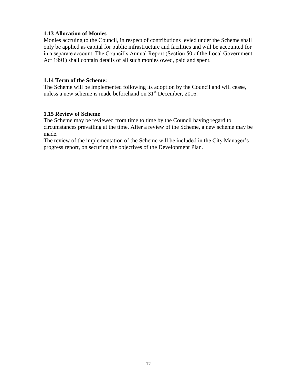#### **1.13 Allocation of Monies**

Monies accruing to the Council, in respect of contributions levied under the Scheme shall only be applied as capital for public infrastructure and facilities and will be accounted for in a separate account. The Council"s Annual Report (Section 50 of the Local Government Act 1991) shall contain details of all such monies owed, paid and spent.

#### **1.14 Term of the Scheme:**

The Scheme will be implemented following its adoption by the Council and will cease, unless a new scheme is made beforehand on  $31<sup>st</sup>$  December, 2016.

#### **1.15 Review of Scheme**

The Scheme may be reviewed from time to time by the Council having regard to circumstances prevailing at the time. After a review of the Scheme, a new scheme may be made.

The review of the implementation of the Scheme will be included in the City Manager's progress report, on securing the objectives of the Development Plan.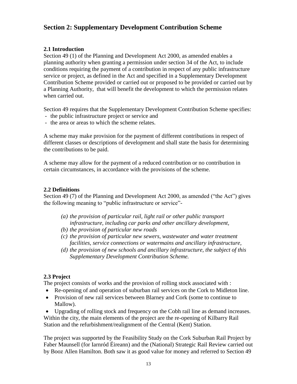#### **Section 2: Supplementary Development Contribution Scheme**

#### **2.1 Introduction**

Section 49 (1) of the Planning and Development Act 2000, as amended enables a planning authority when granting a permission under section 34 of the Act, to include conditions requiring the payment of a contribution in respect of any public infrastructure service or project, as defined in the Act and specified in a Supplementary Development Contribution Scheme provided or carried out or proposed to be provided or carried out by a Planning Authority, that will benefit the development to which the permission relates when carried out.

Section 49 requires that the Supplementary Development Contribution Scheme specifies:

- the public infrastructure project or service and
- the area or areas to which the scheme relates.

A scheme may make provision for the payment of different contributions in respect of different classes or descriptions of development and shall state the basis for determining the contributions to be paid.

A scheme may allow for the payment of a reduced contribution or no contribution in certain circumstances, in accordance with the provisions of the scheme.

#### **2.2 Definitions**

Section 49 (7) of the Planning and Development Act 2000, as amended ("the Act") gives the following meaning to "public infrastructure or service"-

- *(a) the provision of particular rail, light rail or other public transport infrastructure, including car parks and other ancillary development,*
- *(b) the provision of particular new roads*
- *(c) the provision of particular new sewers, wastewater and water treatment facilities, service connections or watermains and ancillary infrastructure,*
- *(d) the provision of new schools and ancillary infrastructure, the subject of this Supplementary Development Contribution Scheme.*

#### **2.3 Project**

The project consists of works and the provision of rolling stock associated with :

- Re-opening of and operation of suburban rail services on the Cork to Midleton line.
- Provision of new rail services between Blarney and Cork (some to continue to Mallow).

 Upgrading of rolling stock and frequency on the Cobh rail line as demand increases. Within the city, the main elements of the project are the re-opening of Kilbarry Rail Station and the refurbishment/realignment of the Central (Kent) Station.

The project was supported by the Feasibility Study on the Cork Suburban Rail Project by Faber Maunsell (for Iarnród Éireann) and the (National) Strategic Rail Review carried out by Booz Allen Hamilton. Both saw it as good value for money and referred to Section 49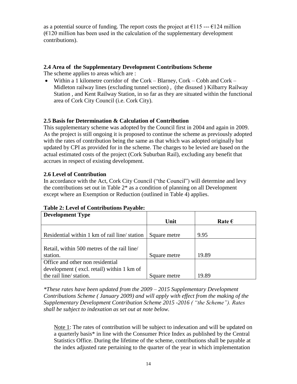as a potential source of funding. The report costs the project at  $\epsilon$ 115 --- $\epsilon$ 124 million  $(E120)$  million has been used in the calculation of the supplementary development contributions).

#### **2.4 Area of the Supplementary Development Contributions Scheme**

The scheme applies to areas which are :

 Within a 1 kilometre corridor of the Cork – Blarney, Cork – Cobh and Cork – Midleton railway lines (excluding tunnel section) , (the disused ) Kilbarry Railway Station , and Kent Railway Station, in so far as they are situated within the functional area of Cork City Council (i.e. Cork City).

#### **2.5 Basis for Determination & Calculation of Contribution**

This supplementary scheme was adopted by the Council first in 2004 and again in 2009. As the project is still ongoing it is proposed to continue the scheme as previously adopted with the rates of contribution being the same as that which was adopted originally but updated by CPI as provided for in the scheme. The charges to be levied are based on the actual estimated costs of the project (Cork Suburban Rail), excluding any benefit that accrues in respect of existing development.

#### **2.6 Level of Contribution**

In accordance with the Act, Cork City Council ("the Council") will determine and levy the contributions set out in Table  $2^*$  as a condition of planning on all Development except where an Exemption or Reduction (outlined in Table 4) applies.

| <b>Development Type</b>                      |              |                 |
|----------------------------------------------|--------------|-----------------|
|                                              | Unit         | Rate $\epsilon$ |
|                                              |              |                 |
| Residential within 1 km of rail line/station | Square metre | 9.95            |
|                                              |              |                 |
| Retail, within 500 metres of the rail line   |              |                 |
| station.                                     | Square metre | 19.89           |
| Office and other non residential             |              |                 |
| development (excl. retail) within 1 km of    |              |                 |
| the rail line/ station.                      | Square metre | 19.89           |

#### **Table 2: Level of Contributions Payable:**

*\*These rates have been updated from the 2009 – 2015 Supplementary Development Contributions Scheme ( January 2009) and will apply with effect from the making of the Supplementary Development Contribution Scheme 2015 -2016 ( "the Scheme"). Rates shall be subject to indexation as set out at note below.* 

Note 1: The rates of contribution will be subject to indexation and will be updated on a quarterly basis\* in line with the Consumer Price Index as published by the Central Statistics Office. During the lifetime of the scheme, contributions shall be payable at the index adjusted rate pertaining to the quarter of the year in which implementation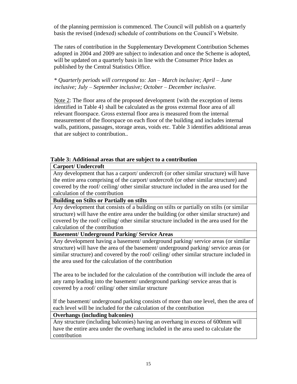of the planning permission is commenced. The Council will publish on a quarterly basis the revised (indexed) schedule of contributions on the Council"s Website.

The rates of contribution in the Supplementary Development Contribution Schemes adopted in 2004 and 2009 are subject to indexation and once the Scheme is adopted, will be updated on a quarterly basis in line with the Consumer Price Index as published by the Central Statistics Office.

*\* Quarterly periods will correspond to: Jan – March inclusive; April – June inclusive; July – September inclusive; October – December inclusive.*

Note 2: The floor area of the proposed development {with the exception of items identified in Table 4} shall be calculated as the gross external floor area of all relevant floorspace. Gross external floor area is measured from the internal measurement of the floorspace on each floor of the building and includes internal walls, patitions, passages, storage areas, voids etc. Table 3 identifies additional areas that are subject to contribution..

#### **Table 3: Additional areas that are subject to a contribution**

**Carport/ Undercroft**

Any development that has a carport/ undercroft (or other similar structure) will have the entire area comprising of the carport/ undercroft (or other similar structure) and covered by the roof/ ceiling/ other similar structure included in the area used for the calculation of the contribution

#### **Building on Stilts or Partially on stilts**

Any development that consists of a building on stilts or partially on stilts (or similar structure) will have the entire area under the building (or other similar structure) and covered by the roof/ ceiling/ other similar structure included in the area used for the calculation of the contribution

#### **Basement/ Underground Parking/ Service Areas**

Any development having a basement/ underground parking/ service areas (or similar structure) will have the area of the basement/ underground parking/ service areas (or similar structure) and covered by the roof/ ceiling/ other similar structure included in the area used for the calculation of the contribution

The area to be included for the calculation of the contribution will include the area of any ramp leading into the basement/ underground parking/ service areas that is covered by a roof/ ceiling/ other similar structure

If the basement/ underground parking consists of more than one level, then the area of each level will be included for the calculation of the contribution

#### **Overhangs (including balconies)**

Any structure (including balconies) having an overhang in excess of 600mm will have the entire area under the overhang included in the area used to calculate the contribution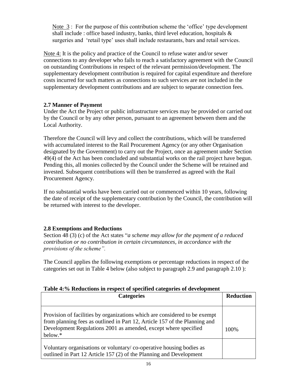Note 3: For the purpose of this contribution scheme the 'office' type development shall include : office based industry, banks, third level education, hospitals  $\&$ surgeries and 'retail type' uses shall include restaurants, bars and retail services.

Note 4: It is the policy and practice of the Council to refuse water and/or sewer connections to any developer who fails to reach a satisfactory agreement with the Council on outstanding Contributions in respect of the relevant permission/development. The supplementary development contribution is required for capital expenditure and therefore costs incurred for such matters as connections to such services are not included in the supplementary development contributions and are subject to separate connection fees.

#### **2.7 Manner of Payment**

Under the Act the Project or public infrastructure services may be provided or carried out by the Council or by any other person, pursuant to an agreement between them and the Local Authority.

Therefore the Council will levy and collect the contributions, which will be transferred with accumulated interest to the Rail Procurement Agency (or any other Organisation designated by the Government) to carry out the Project, once an agreement under Section 49(4) of the Act has been concluded and substantial works on the rail project have begun. Pending this, all monies collected by the Council under the Scheme will be retained and invested. Subsequent contributions will then be transferred as agreed with the Rail Procurement Agency.

If no substantial works have been carried out or commenced within 10 years, following the date of receipt of the supplementary contribution by the Council, the contribution will be returned with interest to the developer.

#### **2.8 Exemptions and Reductions**

Section 48 (3) (c) of the Act states "*a scheme may allow for the payment of a reduced contribution or no contribution in certain circumstances, in accordance with the provisions of the scheme".* 

The Council applies the following exemptions or percentage reductions in respect of the categories set out in Table 4 below (also subject to paragraph 2.9 and paragraph 2.10 ):

#### **Table 4:% Reductions in respect of specified categories of development**

| <b>Categories</b>                                                                                                                                                                                                                      |      |  |
|----------------------------------------------------------------------------------------------------------------------------------------------------------------------------------------------------------------------------------------|------|--|
| Provision of facilities by organizations which are considered to be exempt<br>from planning fees as outlined in Part 12, Article 157 of the Planning and<br>Development Regulations 2001 as amended, except where specified<br>below.* | 100% |  |
| Voluntary organisations or voluntary/co-operative housing bodies as<br>outlined in Part 12 Article 157 (2) of the Planning and Development                                                                                             |      |  |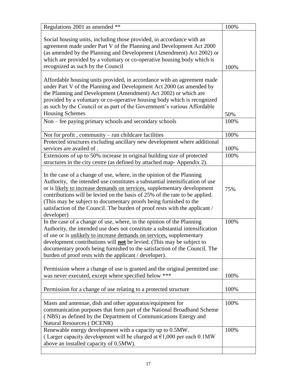| Regulations 2001 as amended **                                                                                                                                                                                                                                                                                                                                                                                                                                                    | 100%         |
|-----------------------------------------------------------------------------------------------------------------------------------------------------------------------------------------------------------------------------------------------------------------------------------------------------------------------------------------------------------------------------------------------------------------------------------------------------------------------------------|--------------|
| Social housing units, including those provided, in accordance with an<br>agreement made under Part V of the Planning and Development Act 2000<br>(as amended by the Planning and Development (Amendment) Act 2002) or<br>which are provided by a voluntary or co-operative housing body which is<br>recognized as such by the Council                                                                                                                                             | 100%         |
| Affordable housing units provided, in accordance with an agreement made<br>under Part V of the Planning and Development Act 2000 (as amended by<br>the Planning and Development (Amendment) Act 2002) or which are<br>provided by a voluntary or co-operative housing body which is recognized<br>as such by the Council or as part of the Government's various Affordable<br><b>Housing Schemes</b>                                                                              | 50%          |
| Non - fee paying primary schools and secondary schools                                                                                                                                                                                                                                                                                                                                                                                                                            | 100%         |
| Not for profit, community – run childcare facilities<br>Protected structures excluding ancillary new development where additional<br>services are availed of.                                                                                                                                                                                                                                                                                                                     | 100%<br>100% |
| Extensions of up to 50% increase in original building size of protected<br>structures in the city centre (as defined by attached map-Appendix 2).                                                                                                                                                                                                                                                                                                                                 | 100%         |
| In the case of a change of use, where, in the opinion of the Planning<br>Authority, the intended use constitutes a substantial intensification of use<br>or is likely to increase demands on services, supplementary development<br>contributions will be levied on the basis of 25% of the rate to be applied.<br>(This may be subject to documentary proofs being furnished to the<br>satisfaction of the Council. The burden of proof rests with the applicant /<br>developer) | 75%          |
| In the case of a change of use, where, in the opinion of the Planning<br>Authority, the intended use does not constitute a substantial intensification<br>of use or is unlikely to increase demands on services, supplementary<br>development contributions will <b>not</b> be levied. (This may be subject to<br>documentary proofs being furnished to the satisfaction of the Council. The<br>burden of proof rests with the applicant / developer).                            | 100%         |
| Permission where a change of use is granted and the original permitted use<br>was never executed, except where specified below ***                                                                                                                                                                                                                                                                                                                                                | 100%         |
| Permission for a change of use relating to a protected structure                                                                                                                                                                                                                                                                                                                                                                                                                  | 100%         |
| Masts and antennae, dish and other apparatus/equipment for<br>communication purposes that form part of the National Broadband Scheme<br>(NBS) as defined by the Department of Communications Energy and<br><b>Natural Resources (DCENR)</b>                                                                                                                                                                                                                                       | 100%         |
| Renewable energy development with a capacity up to 0.5MW.<br>(Larger capacity development will be charged at $\epsilon$ 1,000 per each 0.1MW<br>above an installed capacity of 0.5MW).                                                                                                                                                                                                                                                                                            | 100%         |
|                                                                                                                                                                                                                                                                                                                                                                                                                                                                                   |              |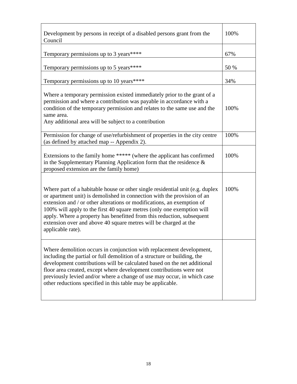| Development by persons in receipt of a disabled persons grant from the<br>Council                                                                                                                                                                                                                                                                                                                                                                                               | 100% |
|---------------------------------------------------------------------------------------------------------------------------------------------------------------------------------------------------------------------------------------------------------------------------------------------------------------------------------------------------------------------------------------------------------------------------------------------------------------------------------|------|
| Temporary permissions up to 3 years****                                                                                                                                                                                                                                                                                                                                                                                                                                         | 67%  |
| Temporary permissions up to 5 years****                                                                                                                                                                                                                                                                                                                                                                                                                                         | 50 % |
| Temporary permissions up to 10 years****                                                                                                                                                                                                                                                                                                                                                                                                                                        | 34%  |
| Where a temporary permission existed immediately prior to the grant of a<br>permission and where a contribution was payable in accordance with a<br>condition of the temporary permission and relates to the same use and the<br>same area.<br>Any additional area will be subject to a contribution                                                                                                                                                                            | 100% |
| Permission for change of use/refurbishment of properties in the city centre<br>(as defined by attached map -- Appendix 2).                                                                                                                                                                                                                                                                                                                                                      | 100% |
| Extensions to the family home ***** (where the applicant has confirmed<br>in the Supplementary Planning Application form that the residence $\&$<br>proposed extension are the family home)                                                                                                                                                                                                                                                                                     | 100% |
| Where part of a habitable house or other single residential unit (e.g. duplex<br>or apartment unit) is demolished in connection with the provision of an<br>extension and / or other alterations or modifications, an exemption of<br>100% will apply to the first 40 square metres (only one exemption will<br>apply. Where a property has benefitted from this reduction, subsequent<br>extension over and above 40 square metres will be charged at the<br>applicable rate). | 100% |
| Where demolition occurs in conjunction with replacement development,<br>including the partial or full demolition of a structure or building, the<br>development contributions will be calculated based on the net additional<br>floor area created, except where development contributions were not<br>previously levied and/or where a change of use may occur, in which case<br>other reductions specified in this table may be applicable.                                   |      |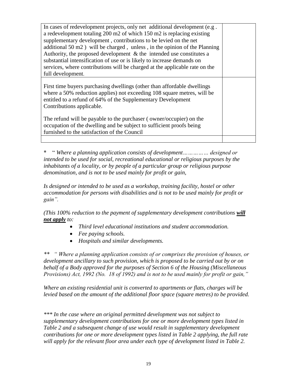| In cases of redevelopment projects, only net additional development (e.g.                                                                                                                                                                       |  |
|-------------------------------------------------------------------------------------------------------------------------------------------------------------------------------------------------------------------------------------------------|--|
| a redevelopment totaling 200 m2 of which 150 m2 is replacing existing                                                                                                                                                                           |  |
| supplementary development, contributions to be levied on the net                                                                                                                                                                                |  |
| additional $50 \text{ m2}$ ) will be charged, unless, in the opinion of the Planning                                                                                                                                                            |  |
| Authority, the proposed development $\&$ the intended use constitutes a                                                                                                                                                                         |  |
| substantial intensification of use or is likely to increase demands on                                                                                                                                                                          |  |
| services, where contributions will be charged at the applicable rate on the                                                                                                                                                                     |  |
| full development.                                                                                                                                                                                                                               |  |
| First time buyers purchasing dwellings (other than affordable dwellings<br>where a 50% reduction applies) not exceeding 108 square metres, will be<br>entitled to a refund of 64% of the Supplementary Development<br>Contributions applicable. |  |
| The refund will be payable to the purchaser (owner/occupier) on the<br>occupation of the dwelling and be subject to sufficient proofs being<br>furnished to the satisfaction of the Council                                                     |  |
|                                                                                                                                                                                                                                                 |  |

\* " *Where a planning application consists of development…………… designed or intended to be used for social, recreational educational or religious purposes by the inhabitants of a locality, or by people of a particular group or religious purpose denomination, and is not to be used mainly for profit or gain,*

*Is designed or intended to be used as a workshop, training facility, hostel or other accommodation for persons with disabilities and is not to be used mainly for profit or gain".* 

*(This 100% reduction to the payment of supplementary development contributions will not apply to:*

- *Third level educational institutions and student accommodation.*
- *Fee paying schools.*
- *Hospitals and similar developments.*

*Where a planning application consists of or comprises the provision of houses, or development ancillary to such provision, which is proposed to be carried out by or on behalf of a Body approved for the purposes of Section 6 of the Housing (Miscellaneous Provisions) Act, 1992 (No. 18 of 1992) and is not to be used mainly for profit or gain,"* 

*Where an existing residential unit is converted to apartments or flats, charges will be levied based on the amount of the additional floor space (square metres) to be provided.*

*\*\*\* In the case where an original permitted development was not subject to supplementary development contributions for one or more development types listed in Table 2 and a subsequent change of use would result in supplementary development contributions for one or more development types listed in Table 2 applying, the full rate will apply for the relevant floor area under each type of development listed in Table 2.*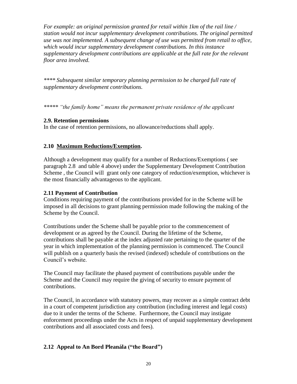*For example: an original permission granted for retail within 1km of the rail line / station would not incur supplementary development contributions. The original permitted use was not implemented. A subsequent change of use was permitted from retail to office, which would incur supplementary development contributions. In this instance supplementary development contributions are applicable at the full rate for the relevant floor area involved.*

*\*\*\*\* Subsequent similar temporary planning permission to be charged full rate of supplementary development contributions.*

*\*\*\*\*\* "the family home" means the permanent private residence of the applicant*

#### **2.9. Retention permissions**

In the case of retention permissions, no allowance/reductions shall apply.

#### **2.10 Maximum Reductions/Exemption.**

Although a development may qualify for a number of Reductions/Exemptions ( see paragraph 2.8 and table 4 above) under the Supplementary Development Contribution Scheme , the Council will grant only one category of reduction/exemption, whichever is the most financially advantageous to the applicant.

#### **2.11 Payment of Contribution**

Conditions requiring payment of the contributions provided for in the Scheme will be imposed in all decisions to grant planning permission made following the making of the Scheme by the Council.

Contributions under the Scheme shall be payable prior to the commencement of development or as agreed by the Council. During the lifetime of the Scheme, contributions shall be payable at the index adjusted rate pertaining to the quarter of the year in which implementation of the planning permission is commenced. The Council will publish on a quarterly basis the revised (indexed) schedule of contributions on the Council"s website.

The Council may facilitate the phased payment of contributions payable under the Scheme and the Council may require the giving of security to ensure payment of contributions.

The Council, in accordance with statutory powers, may recover as a simple contract debt in a court of competent jurisdiction any contribution (including interest and legal costs) due to it under the terms of the Scheme. Furthermore, the Council may instigate enforcement proceedings under the Acts in respect of unpaid supplementary development contributions and all associated costs and fees).

#### **2.12 Appeal to An Bord Pleanála ("the Board")**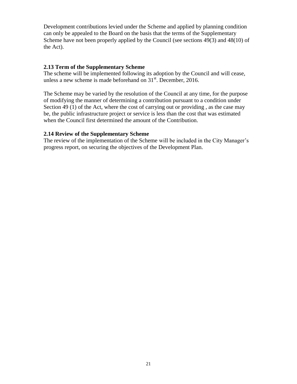Development contributions levied under the Scheme and applied by planning condition can only be appealed to the Board on the basis that the terms of the Supplementary Scheme have not been properly applied by the Council (see sections 49(3) and 48(10) of the Act).

#### **2.13 Term of the Supplementary Scheme**

The scheme will be implemented following its adoption by the Council and will cease, unless a new scheme is made beforehand on  $31<sup>st</sup>$ . December, 2016.

The Scheme may be varied by the resolution of the Council at any time, for the purpose of modifying the manner of determining a contribution pursuant to a condition under Section 49 (1) of the Act, where the cost of carrying out or providing, as the case may be, the public infrastructure project or service is less than the cost that was estimated when the Council first determined the amount of the Contribution.

#### **2.14 Review of the Supplementary Scheme**

The review of the implementation of the Scheme will be included in the City Manager's progress report, on securing the objectives of the Development Plan.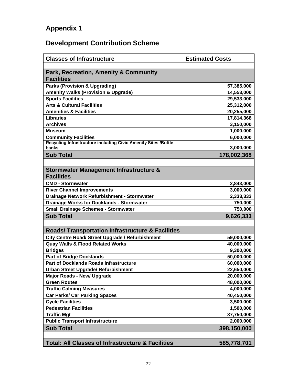### **Appendix 1**

### **Development Contribution Scheme**

| <b>Classes of Infrastructure</b>                                        | <b>Estimated Costs</b> |
|-------------------------------------------------------------------------|------------------------|
|                                                                         |                        |
| <b>Park, Recreation, Amenity &amp; Community</b><br><b>Facilities</b>   |                        |
| <b>Parks (Provision &amp; Upgrading)</b>                                | 57,385,000             |
| <b>Amenity Walks (Provision &amp; Upgrade)</b>                          | 14,553,000             |
| <b>Sports Facilities</b>                                                | 29,533,000             |
| <b>Arts &amp; Cultural Facilities</b>                                   | 25,312,000             |
| <b>Amenities &amp; Facilities</b>                                       | 20,255,000             |
| <b>Libraries</b>                                                        | 17,814,368             |
| <b>Archives</b>                                                         | 3,150,000              |
| Museum                                                                  | 1,000,000              |
| <b>Community Facilities</b>                                             | 6,000,000              |
| Recycling Infrastructure including Civic Amenity Sites /Bottle<br>banks | 3,000,000              |
| <b>Sub Total</b>                                                        | 178,002,368            |
|                                                                         |                        |
| <b>Stormwater Management Infrastructure &amp;</b><br><b>Facilities</b>  |                        |
| <b>CMD - Stormwater</b>                                                 | 2,843,000              |
| <b>River Channel Improvements</b>                                       | 3,000,000              |
| Drainage Network Refurbishment - Stormwater                             | 2,333,333              |
| <b>Drainage Works for Docklands - Stormwater</b>                        | 750,000                |
| <b>Small Drainage Schemes - Stormwater</b>                              | 750,000                |
| <b>Sub Total</b>                                                        | 9,626,333              |
|                                                                         |                        |
| <b>Roads/ Transportation Infrastructure &amp; Facilities</b>            |                        |
| City Centre Road/ Street Upgrade / Refurbishment                        | 59,000,000             |
| <b>Quay Walls &amp; Flood Related Works</b>                             | 40,000,000             |
| <b>Bridges</b>                                                          | 9,300,000              |
| <b>Part of Bridge Docklands</b>                                         | 50,000,000             |
| <b>Part of Docklands Roads Infrastructure</b>                           | 60,000,000             |
| <b>Urban Street Upgrade/ Refurbishment</b>                              | 22,650,000             |
| <b>Major Roads - New/ Upgrade</b>                                       | 20,000,000             |
| <b>Green Routes</b>                                                     | 48,000,000             |
| <b>Traffic Calming Measures</b>                                         | 4,000,000              |
| <b>Car Parks/ Car Parking Spaces</b>                                    | 40,450,000             |
| <b>Cycle Facilities</b>                                                 | 3,500,000              |
| <b>Pedestrian Facilities</b>                                            | 1,500,000              |
| <b>Traffic Mgt</b>                                                      | 37,750,000             |
| <b>Public Transport Infrastructure</b>                                  | 2,000,000              |
| <b>Sub Total</b>                                                        | 398,150,000            |
|                                                                         |                        |
| <b>Total: All Classes of Infrastructure &amp; Facilities</b>            | 585,778,701            |